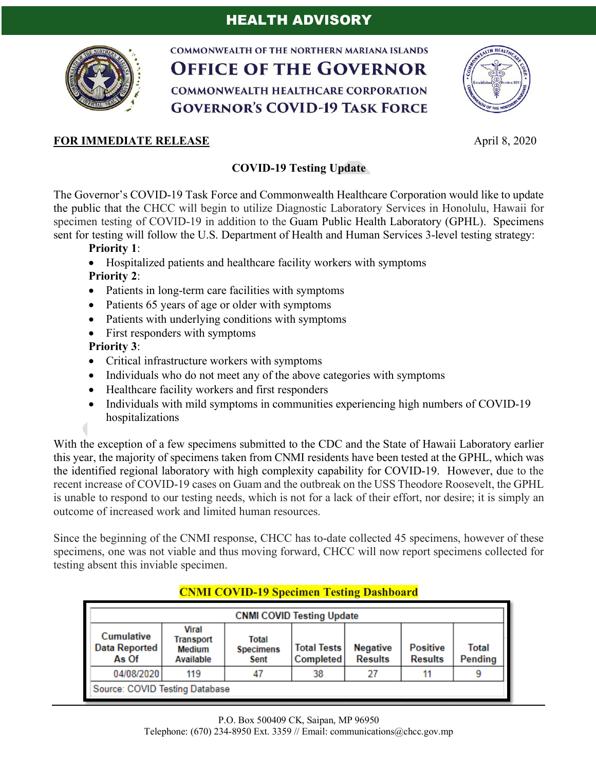

**COMMONWEALTH OF THE NORTHERN MARIANA ISLANDS OFFICE OF THE GOVERNOR COMMONWEALTH HEALTHCARE CORPORATION GOVERNOR'S COVID-19 TASK FORCE** 



## **FOR IMMEDIATE RELEASE** April 8, 2020

## **COVID-19 Testing Update**

The Governor's COVID-19 Task Force and Commonwealth Healthcare Corporation would like to update the public that the CHCC will begin to utilize Diagnostic Laboratory Services in Honolulu, Hawaii for specimen testing of COVID-19 in addition to the Guam Public Health Laboratory (GPHL). Specimens sent for testing will follow the U.S. Department of Health and Human Services 3-level testing strategy:

**Priority 1**:

- Hospitalized patients and healthcare facility workers with symptoms **Priority 2**:
- Patients in long-term care facilities with symptoms
- Patients 65 years of age or older with symptoms
- Patients with underlying conditions with symptoms
- First responders with symptoms

**Priority 3**:

- Critical infrastructure workers with symptoms
- Individuals who do not meet any of the above categories with symptoms
- Healthcare facility workers and first responders
- Individuals with mild symptoms in communities experiencing high numbers of COVID-19 hospitalizations

With the exception of a few specimens submitted to the CDC and the State of Hawaii Laboratory earlier this year, the majority of specimens taken from CNMI residents have been tested at the GPHL, which was the identified regional laboratory with high complexity capability for COVID-19. However, due to the recent increase of COVID-19 cases on Guam and the outbreak on the USS Theodore Roosevelt, the GPHL is unable to respond to our testing needs, which is not for a lack of their effort, nor desire; it is simply an outcome of increased work and limited human resources.

Since the beginning of the CNMI response, CHCC has to-date collected 45 specimens, however of these specimens, one was not viable and thus moving forward, CHCC will now report specimens collected for testing absent this inviable specimen.

| <b>CNMI COVID Testing Update</b>                   |                                                         |                                   |                                        |                                   |                                   |                         |
|----------------------------------------------------|---------------------------------------------------------|-----------------------------------|----------------------------------------|-----------------------------------|-----------------------------------|-------------------------|
| <b>Cumulative</b><br><b>Data Reported</b><br>As Of | <b>Viral</b><br><b>Transport</b><br>Medium<br>Available | Total<br><b>Specimens</b><br>Sent | <b>Total Tests</b><br><b>Completed</b> | <b>Negative</b><br><b>Results</b> | <b>Positive</b><br><b>Results</b> | Total<br><b>Pending</b> |
| 04/08/2020                                         | 119                                                     | 47                                | 38                                     | 27                                |                                   | 9                       |
| Source: COVID Testing Database                     |                                                         |                                   |                                        |                                   |                                   |                         |

## **CNMI COVID-19 Specimen Testing Dashboard**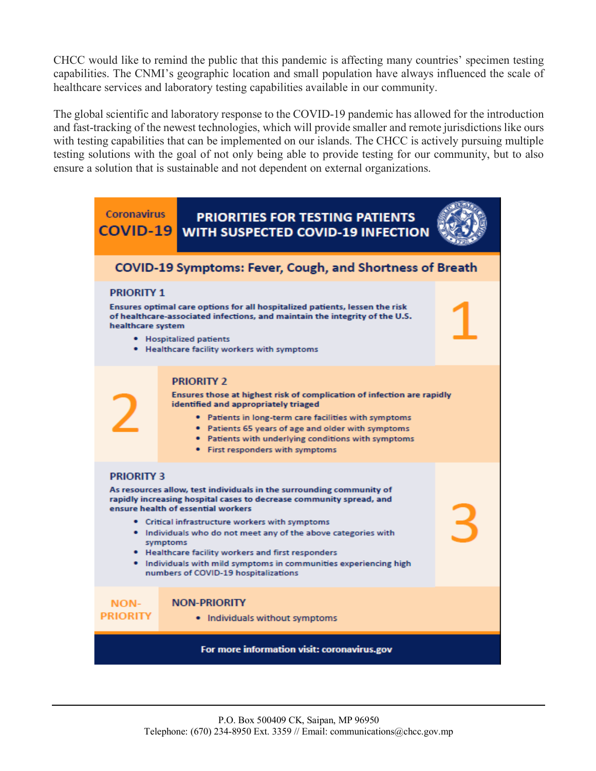CHCC would like to remind the public that this pandemic is affecting many countries' specimen testing capabilities. The CNMI's geographic location and small population have always influenced the scale of healthcare services and laboratory testing capabilities available in our community.

The global scientific and laboratory response to the COVID-19 pandemic has allowed for the introduction and fast-tracking of the newest technologies, which will provide smaller and remote jurisdictions like ours with testing capabilities that can be implemented on our islands. The CHCC is actively pursuing multiple testing solutions with the goal of not only being able to provide testing for our community, but to also ensure a solution that is sustainable and not dependent on external organizations.

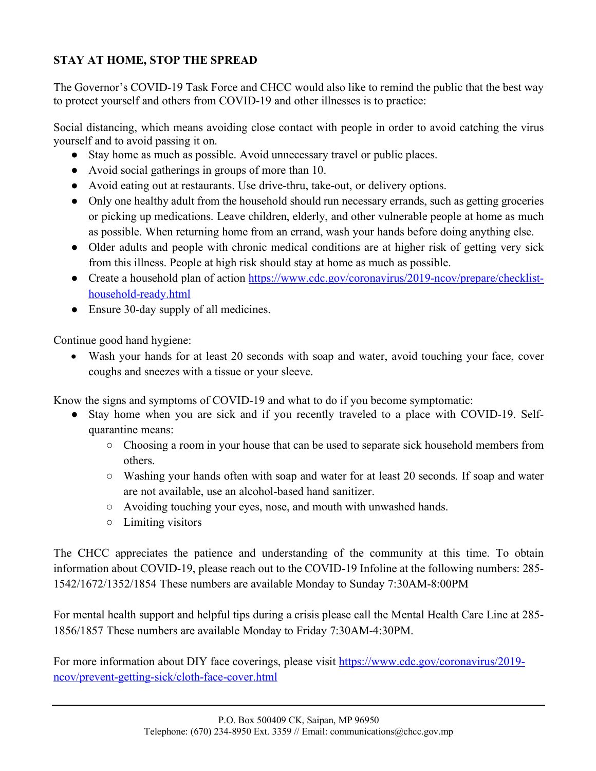## **STAY AT HOME, STOP THE SPREAD**

The Governor's COVID-19 Task Force and CHCC would also like to remind the public that the best way to protect yourself and others from COVID-19 and other illnesses is to practice:

Social distancing, which means avoiding close contact with people in order to avoid catching the virus yourself and to avoid passing it on.

- Stay home as much as possible. Avoid unnecessary travel or public places.
- Avoid social gatherings in groups of more than 10.
- Avoid eating out at restaurants. Use drive-thru, take-out, or delivery options.
- Only one healthy adult from the household should run necessary errands, such as getting groceries or picking up medications. Leave children, elderly, and other vulnerable people at home as much as possible. When returning home from an errand, wash your hands before doing anything else.
- Older adults and people with chronic medical conditions are at higher risk of getting very sick from this illness. People at high risk should stay at home as much as possible.
- Create a household plan of action https://www.cdc.gov/coronavirus/2019-ncov/prepare/checklisthousehold-ready.html
- Ensure 30-day supply of all medicines.

Continue good hand hygiene:

• Wash your hands for at least 20 seconds with soap and water, avoid touching your face, cover coughs and sneezes with a tissue or your sleeve.

Know the signs and symptoms of COVID-19 and what to do if you become symptomatic:

- Stay home when you are sick and if you recently traveled to a place with COVID-19. Selfquarantine means:
	- Choosing a room in your house that can be used to separate sick household members from others.
	- Washing your hands often with soap and water for at least 20 seconds. If soap and water are not available, use an alcohol-based hand sanitizer.
	- Avoiding touching your eyes, nose, and mouth with unwashed hands.
	- Limiting visitors

The CHCC appreciates the patience and understanding of the community at this time. To obtain information about COVID-19, please reach out to the COVID-19 Infoline at the following numbers: 285- 1542/1672/1352/1854 These numbers are available Monday to Sunday 7:30AM-8:00PM

For mental health support and helpful tips during a crisis please call the Mental Health Care Line at 285- 1856/1857 These numbers are available Monday to Friday 7:30AM-4:30PM.

For more information about DIY face coverings, please visit https://www.cdc.gov/coronavirus/2019ncov/prevent-getting-sick/cloth-face-cover.html